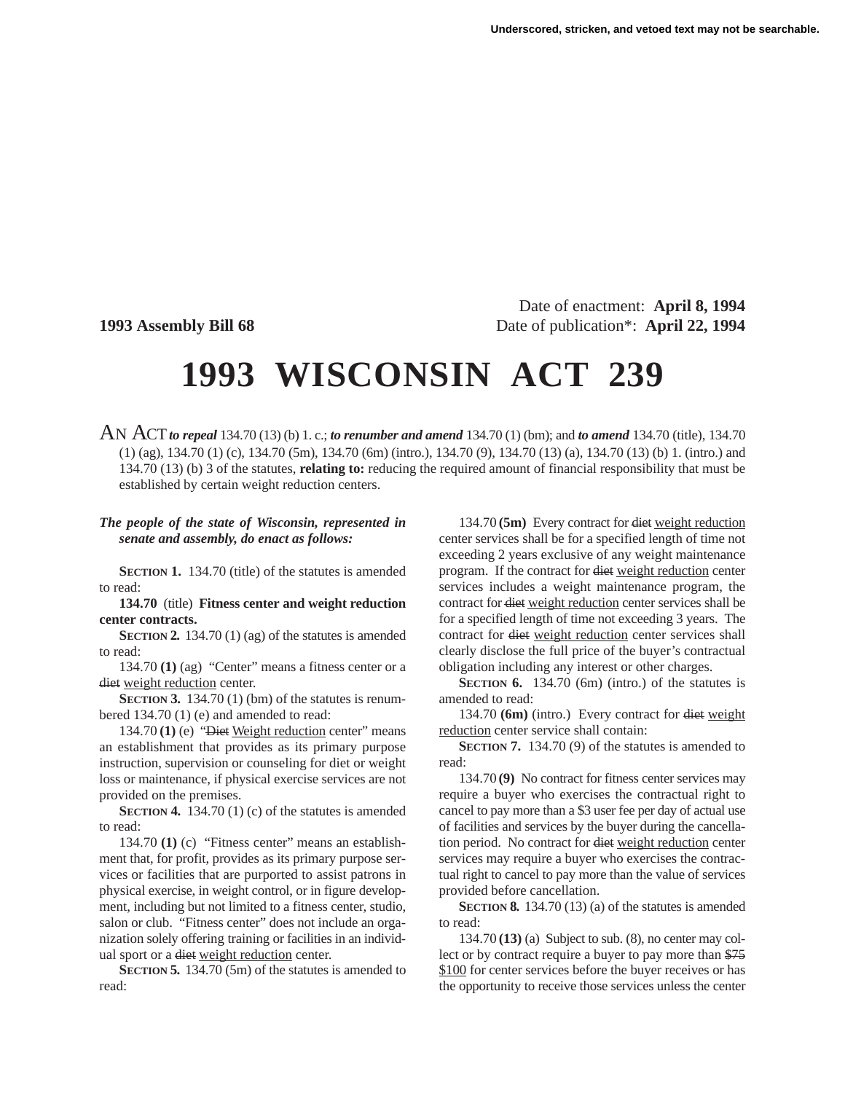Date of enactment: **April 8, 1994 1993 Assembly Bill 68** Date of publication\*: **April 22, 1994**

## **1993 WISCONSIN ACT 239**

AN ACT*to repeal* 134.70 (13) (b) 1. c.; *to renumber and amend* 134.70 (1) (bm); and *to amend* 134.70 (title), 134.70 (1) (ag), 134.70 (1) (c), 134.70 (5m), 134.70 (6m) (intro.), 134.70 (9), 134.70 (13) (a), 134.70 (13) (b) 1. (intro.) and 134.70 (13) (b) 3 of the statutes, **relating to:** reducing the required amount of financial responsibility that must be established by certain weight reduction centers.

## *The people of the state of Wisconsin, represented in senate and assembly, do enact as follows:*

**SECTION 1.** 134.70 (title) of the statutes is amended to read:

**134.70** (title) **Fitness center and weight reduction center contracts.**

**SECTION 2.** 134.70 (1) (ag) of the statutes is amended to read:

134.70 **(1)** (ag) "Center" means a fitness center or a diet weight reduction center.

**SECTION 3.** 134.70 (1) (bm) of the statutes is renumbered 134.70 (1) (e) and amended to read:

134.70 **(1)** (e) "Diet Weight reduction center" means an establishment that provides as its primary purpose instruction, supervision or counseling for diet or weight loss or maintenance, if physical exercise services are not provided on the premises.

**SECTION 4.** 134.70 (1) (c) of the statutes is amended to read:

134.70 **(1)** (c) "Fitness center" means an establishment that, for profit, provides as its primary purpose services or facilities that are purported to assist patrons in physical exercise, in weight control, or in figure development, including but not limited to a fitness center, studio, salon or club. "Fitness center" does not include an organization solely offering training or facilities in an individual sport or a diet weight reduction center.

**SECTION 5.** 134.70 (5m) of the statutes is amended to read:

134.70 **(5m)** Every contract for diet weight reduction center services shall be for a specified length of time not exceeding 2 years exclusive of any weight maintenance program. If the contract for diet weight reduction center services includes a weight maintenance program, the contract for diet weight reduction center services shall be for a specified length of time not exceeding 3 years. The contract for diet weight reduction center services shall clearly disclose the full price of the buyer's contractual obligation including any interest or other charges.

**SECTION 6.** 134.70 (6m) (intro.) of the statutes is amended to read:

134.70 **(6m)** (intro.) Every contract for diet weight reduction center service shall contain:

**SECTION 7.** 134.70 (9) of the statutes is amended to read:

134.70 **(9)** No contract for fitness center services may require a buyer who exercises the contractual right to cancel to pay more than a \$3 user fee per day of actual use of facilities and services by the buyer during the cancellation period. No contract for diet weight reduction center services may require a buyer who exercises the contractual right to cancel to pay more than the value of services provided before cancellation.

**SECTION 8.** 134.70 (13) (a) of the statutes is amended to read:

134.70 **(13)** (a) Subject to sub. (8), no center may collect or by contract require a buyer to pay more than \$75 \$100 for center services before the buyer receives or has the opportunity to receive those services unless the center